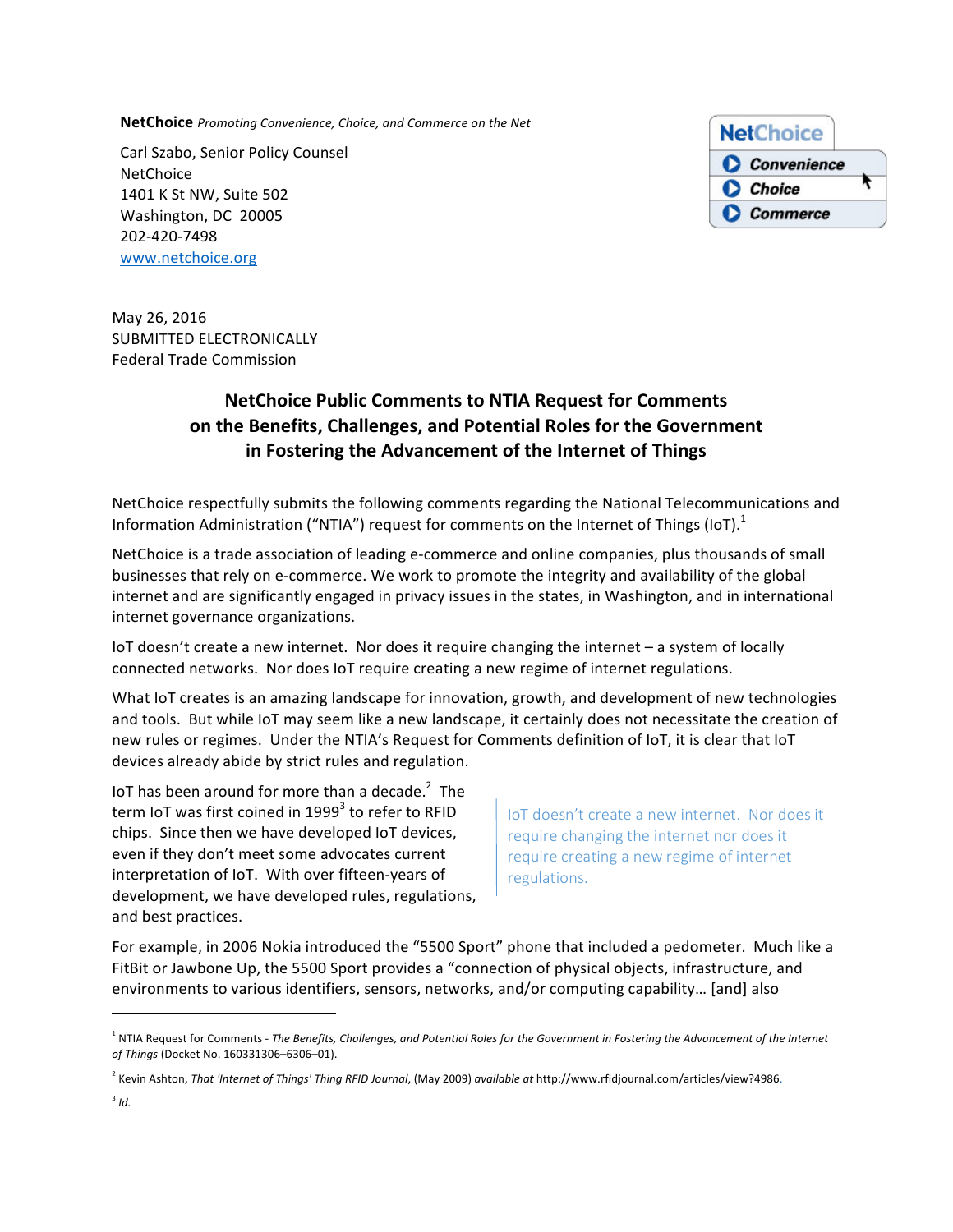**NetChoice** Promoting Convenience, Choice, and Commerce on the Net

Carl Szabo, Senior Policy Counsel **NetChoice** 1401 K St NW, Suite 502 Washington, DC 20005 202-420-7498 www.netchoice.org



May 26, 2016 SUBMITTED ELECTRONICALLY Federal Trade Commission

# **NetChoice Public Comments to NTIA Request for Comments** on the Benefits, Challenges, and Potential Roles for the Government **in Fostering the Advancement of the Internet of Things**

NetChoice respectfully submits the following comments regarding the National Telecommunications and Information Administration ("NTIA") request for comments on the Internet of Things (IoT).<sup>1</sup>

NetChoice is a trade association of leading e-commerce and online companies, plus thousands of small businesses that rely on e-commerce. We work to promote the integrity and availability of the global internet and are significantly engaged in privacy issues in the states, in Washington, and in international internet governance organizations.

IoT doesn't create a new internet. Nor does it require changing the internet – a system of locally connected networks. Nor does IoT require creating a new regime of internet regulations.

What IoT creates is an amazing landscape for innovation, growth, and development of new technologies and tools. But while IoT may seem like a new landscape, it certainly does not necessitate the creation of new rules or regimes. Under the NTIA's Request for Comments definition of IoT, it is clear that IoT devices already abide by strict rules and regulation.

IoT has been around for more than a decade.<sup>2</sup> The term IoT was first coined in  $1999<sup>3</sup>$  to refer to RFID chips. Since then we have developed IoT devices, even if they don't meet some advocates current interpretation of IoT. With over fifteen-years of development, we have developed rules, regulations, and best practices.

<u> 1989 - Johann Barn, mars ann an t-Amhain an t-Amhain an t-Amhain an t-Amhain an t-Amhain an t-Amhain an t-Amh</u>

IoT doesn't create a new internet. Nor does it require changing the internet nor does it require creating a new regime of internet regulations.

For example, in 2006 Nokia introduced the "5500 Sport" phone that included a pedometer. Much like a FitBit or Jawbone Up, the 5500 Sport provides a "connection of physical objects, infrastructure, and environments to various identifiers, sensors, networks, and/or computing capability... [and] also

<sup>&</sup>lt;sup>1</sup> NTIA Request for Comments - *The Benefits, Challenges, and Potential Roles for the Government in Fostering the Advancement of the Internet of Things* (Docket No. 160331306–6306–01).

<sup>&</sup>lt;sup>2</sup> Kevin Ashton, That 'Internet of Things' Thing RFID Journal, (May 2009) available at http://www.rfidjournal.com/articles/view?4986.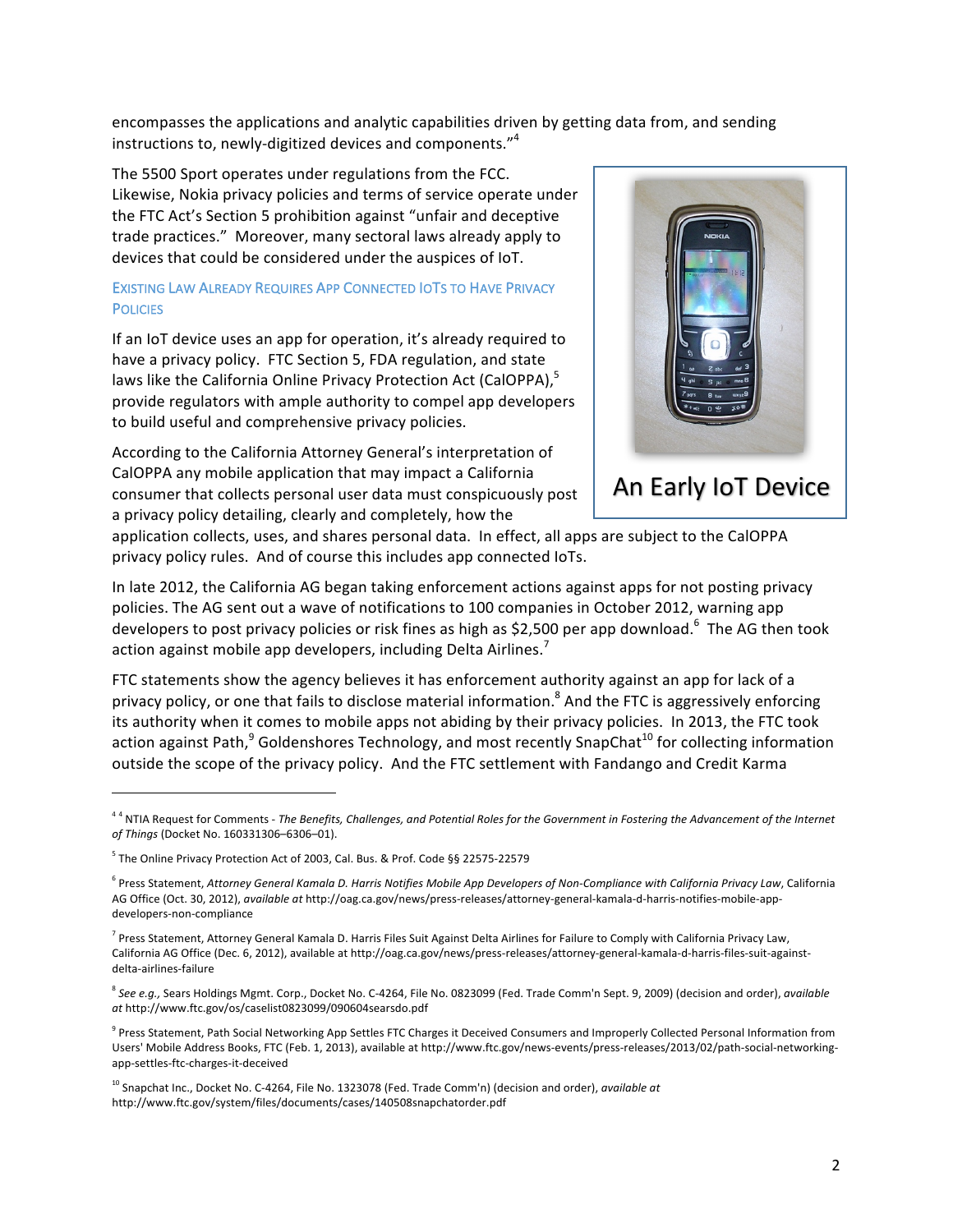encompasses the applications and analytic capabilities driven by getting data from, and sending instructions to, newly-digitized devices and components." $4$ 

The 5500 Sport operates under regulations from the FCC. Likewise, Nokia privacy policies and terms of service operate under the FTC Act's Section 5 prohibition against "unfair and deceptive trade practices." Moreover, many sectoral laws already apply to devices that could be considered under the auspices of IoT.

## EXISTING LAW ALREADY REQUIRES APP CONNECTED IOTS TO HAVE PRIVACY **POLICIES**

If an IoT device uses an app for operation, it's already required to have a privacy policy. FTC Section 5, FDA regulation, and state laws like the California Online Privacy Protection Act (CalOPPA),<sup>5</sup> provide regulators with ample authority to compel app developers to build useful and comprehensive privacy policies.

According to the California Attorney General's interpretation of CalOPPA any mobile application that may impact a California consumer that collects personal user data must conspicuously post a privacy policy detailing, clearly and completely, how the



An Early IoT Device

application collects, uses, and shares personal data. In effect, all apps are subject to the CalOPPA privacy policy rules. And of course this includes app connected IoTs.

In late 2012, the California AG began taking enforcement actions against apps for not posting privacy policies. The AG sent out a wave of notifications to 100 companies in October 2012, warning app developers to post privacy policies or risk fines as high as \$2,500 per app download.<sup>6</sup> The AG then took action against mobile app developers, including Delta Airlines.<sup>7</sup>

FTC statements show the agency believes it has enforcement authority against an app for lack of a privacy policy, or one that fails to disclose material information.<sup>8</sup> And the FTC is aggressively enforcing its authority when it comes to mobile apps not abiding by their privacy policies. In 2013, the FTC took action against Path,<sup>9</sup> Goldenshores Technology, and most recently SnapChat<sup>10</sup> for collecting information outside the scope of the privacy policy. And the FTC settlement with Fandango and Credit Karma

<u> 1989 - Johann Barn, mars ann an t-Amhain an t-Amhain an t-Amhain an t-Amhain an t-Amhain an t-Amhain an t-Amh</u>

<sup>&</sup>lt;sup>44</sup> NTIA Request for Comments - The Benefits, Challenges, and Potential Roles for the Government in Fostering the Advancement of the Internet *of Things* (Docket No. 160331306–6306–01).

<sup>&</sup>lt;sup>5</sup> The Online Privacy Protection Act of 2003, Cal. Bus. & Prof. Code §§ 22575-22579

<sup>&</sup>lt;sup>6</sup> Press Statement, Attorney General Kamala D. Harris Notifies Mobile App Developers of Non-Compliance with California Privacy Law, California AG Office (Oct. 30, 2012), *available at http://oag.ca.gov/news/press-releases/attorney-general-kamala-d-harris-notifies-mobile-app*developers-non-compliance

 $^7$  Press Statement, Attorney General Kamala D. Harris Files Suit Against Delta Airlines for Failure to Comply with California Privacy Law, California AG Office (Dec. 6, 2012), available at http://oag.ca.gov/news/press-releases/attorney-general-kamala-d-harris-files-suit-againstdelta-airlines-failure

<sup>&</sup>lt;sup>8</sup> See e.g., Sears Holdings Mgmt. Corp., Docket No. C-4264, File No. 0823099 (Fed. Trade Comm'n Sept. 9, 2009) (decision and order), *available at* http://www.ftc.gov/os/caselist0823099/090604searsdo.pdf

<sup>&</sup>lt;sup>9</sup> Press Statement, Path Social Networking App Settles FTC Charges it Deceived Consumers and Improperly Collected Personal Information from Users' Mobile Address Books, FTC (Feb. 1, 2013), available at http://www.ftc.gov/news-events/press-releases/2013/02/path-social-networkingapp-settles-ftc-charges-it-deceived

<sup>&</sup>lt;sup>10</sup> Snapchat Inc., Docket No. C-4264, File No. 1323078 (Fed. Trade Comm'n) (decision and order), *available at* http://www.ftc.gov/system/files/documents/cases/140508snapchatorder.pdf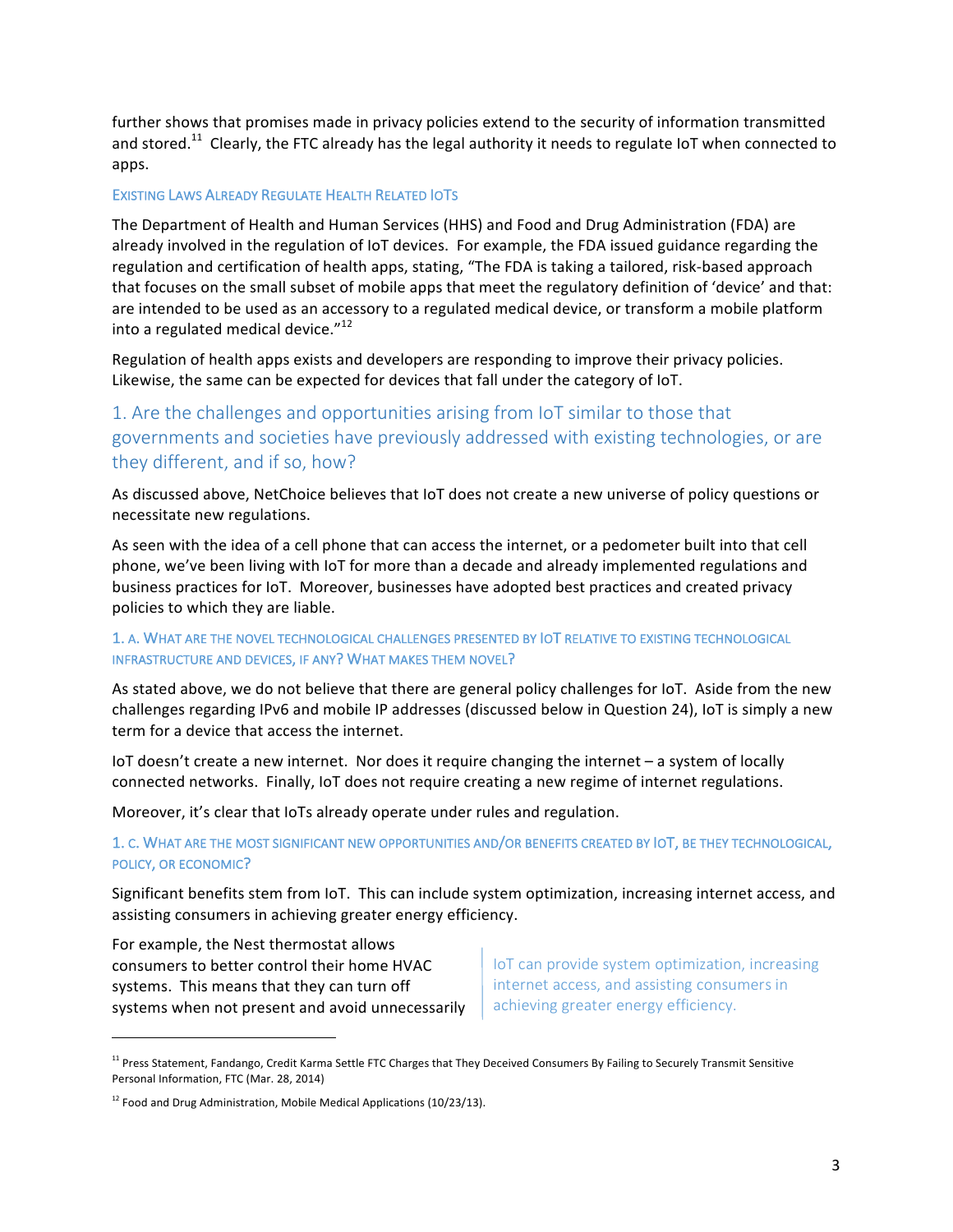further shows that promises made in privacy policies extend to the security of information transmitted and stored.<sup>11</sup> Clearly, the FTC already has the legal authority it needs to regulate IoT when connected to apps. 

#### **EXISTING LAWS ALREADY REGULATE HEALTH RELATED IOTS**

The Department of Health and Human Services (HHS) and Food and Drug Administration (FDA) are already involved in the regulation of IoT devices. For example, the FDA issued guidance regarding the regulation and certification of health apps, stating, "The FDA is taking a tailored, risk-based approach that focuses on the small subset of mobile apps that meet the regulatory definition of 'device' and that: are intended to be used as an accessory to a regulated medical device, or transform a mobile platform into a regulated medical device."<sup>12</sup>

Regulation of health apps exists and developers are responding to improve their privacy policies. Likewise, the same can be expected for devices that fall under the category of IoT.

## 1. Are the challenges and opportunities arising from IoT similar to those that governments and societies have previously addressed with existing technologies, or are they different, and if so, how?

As discussed above, NetChoice believes that IoT does not create a new universe of policy questions or necessitate new regulations.

As seen with the idea of a cell phone that can access the internet, or a pedometer built into that cell phone, we've been living with IoT for more than a decade and already implemented regulations and business practices for IoT. Moreover, businesses have adopted best practices and created privacy policies to which they are liable.

## 1. A. WHAT ARE THE NOVEL TECHNOLOGICAL CHALLENGES PRESENTED BY IOT RELATIVE TO EXISTING TECHNOLOGICAL INFRASTRUCTURE AND DEVICES, IF ANY? WHAT MAKES THEM NOVEL?

As stated above, we do not believe that there are general policy challenges for IoT. Aside from the new challenges regarding IPv6 and mobile IP addresses (discussed below in Question 24), IoT is simply a new term for a device that access the internet.

IoT doesn't create a new internet. Nor does it require changing the internet - a system of locally connected networks. Finally, IoT does not require creating a new regime of internet regulations.

Moreover, it's clear that IoTs already operate under rules and regulation.

1. C. WHAT ARE THE MOST SIGNIFICANT NEW OPPORTUNITIES AND/OR BENEFITS CREATED BY IOT, BE THEY TECHNOLOGICAL, POLICY, OR ECONOMIC?

Significant benefits stem from IoT. This can include system optimization, increasing internet access, and assisting consumers in achieving greater energy efficiency.

For example, the Nest thermostat allows consumers to better control their home HVAC systems. This means that they can turn off systems when not present and avoid unnecessarily

 

IoT can provide system optimization, increasing internet access, and assisting consumers in achieving greater energy efficiency.

 $11$  Press Statement, Fandango, Credit Karma Settle FTC Charges that They Deceived Consumers By Failing to Securely Transmit Sensitive Personal Information, FTC (Mar. 28, 2014)

 $12$  Food and Drug Administration, Mobile Medical Applications (10/23/13).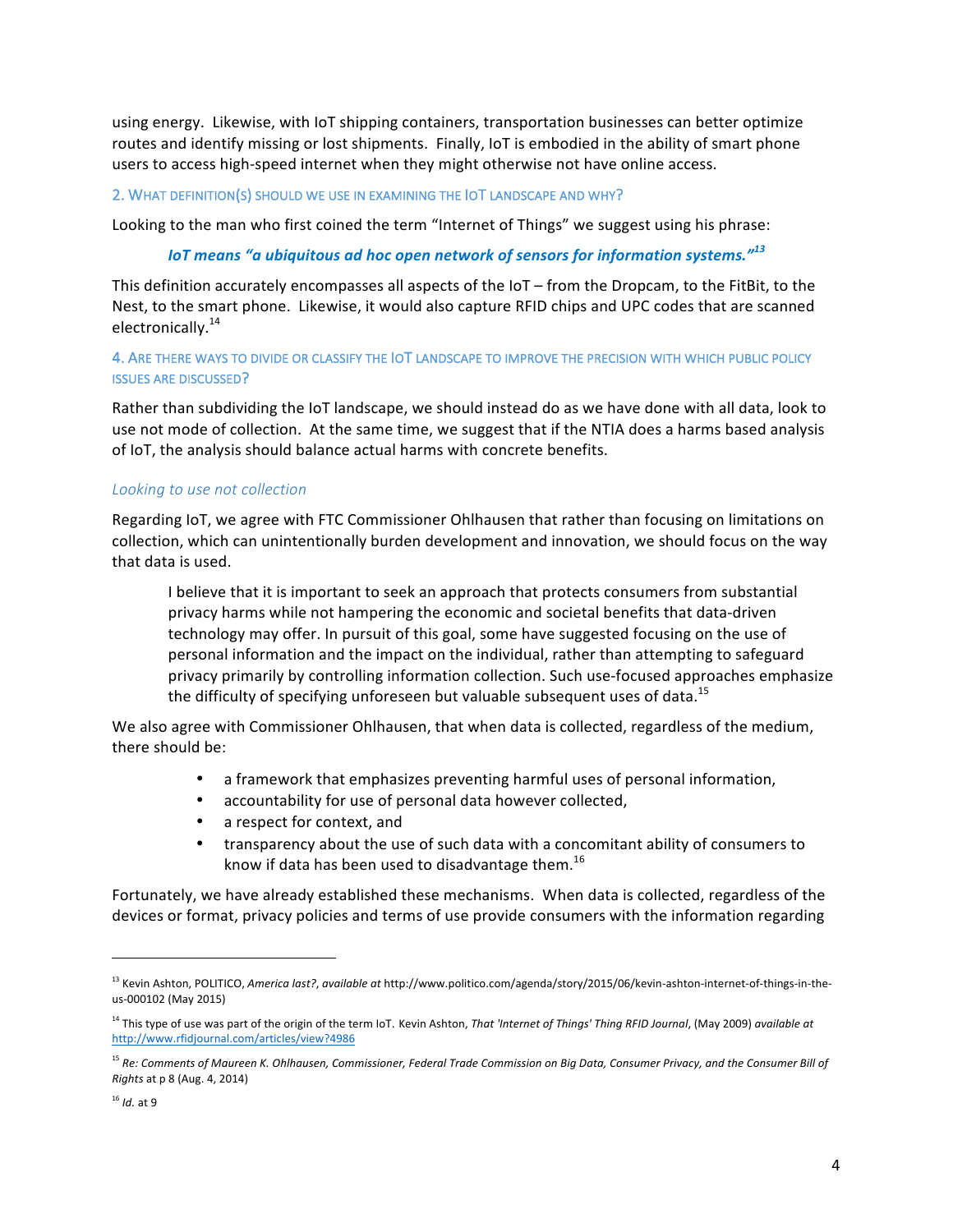using energy. Likewise, with IoT shipping containers, transportation businesses can better optimize routes and identify missing or lost shipments. Finally, IoT is embodied in the ability of smart phone users to access high-speed internet when they might otherwise not have online access.

#### 2. WHAT DEFINITION(S) SHOULD WE USE IN EXAMINING THE IOT LANDSCAPE AND WHY?

Looking to the man who first coined the term "Internet of Things" we suggest using his phrase:

#### *IoT* means "a ubiquitous ad hoc open network of sensors for information systems."<sup>13</sup>

This definition accurately encompasses all aspects of the  $I$ oT – from the Dropcam, to the FitBit, to the Nest, to the smart phone. Likewise, it would also capture RFID chips and UPC codes that are scanned electronically.<sup>14</sup>

## 4. ARE THERE WAYS TO DIVIDE OR CLASSIFY THE IOT LANDSCAPE TO IMPROVE THE PRECISION WITH WHICH PUBLIC POLICY **ISSUES ARE DISCUSSED?**

Rather than subdividing the IoT landscape, we should instead do as we have done with all data, look to use not mode of collection. At the same time, we suggest that if the NTIA does a harms based analysis of IoT, the analysis should balance actual harms with concrete benefits.

#### Looking to use not collection

Regarding IoT, we agree with FTC Commissioner Ohlhausen that rather than focusing on limitations on collection, which can unintentionally burden development and innovation, we should focus on the way that data is used.

I believe that it is important to seek an approach that protects consumers from substantial privacy harms while not hampering the economic and societal benefits that data-driven technology may offer. In pursuit of this goal, some have suggested focusing on the use of personal information and the impact on the individual, rather than attempting to safeguard privacy primarily by controlling information collection. Such use-focused approaches emphasize the difficulty of specifying unforeseen but valuable subsequent uses of data.<sup>15</sup>

We also agree with Commissioner Ohlhausen, that when data is collected, regardless of the medium, there should be:

- a framework that emphasizes preventing harmful uses of personal information,
- accountability for use of personal data however collected,
- a respect for context, and

<u> 1989 - Johann Barn, mars ann an t-Amhain an t-Amhain an t-Amhain an t-Amhain an t-Amhain an t-Amhain an t-Amh</u>

• transparency about the use of such data with a concomitant ability of consumers to know if data has been used to disadvantage them.<sup>16</sup>

Fortunately, we have already established these mechanisms. When data is collected, regardless of the devices or format, privacy policies and terms of use provide consumers with the information regarding

<sup>&</sup>lt;sup>13</sup> Kevin Ashton, POLITICO, *America last?*, *available at* http://www.politico.com/agenda/story/2015/06/kevin-ashton-internet-of-things-in-theus-000102 (May 2015)

<sup>&</sup>lt;sup>14</sup> This type of use was part of the origin of the term IoT. Kevin Ashton, That 'Internet of Things' Thing RFID Journal, (May 2009) available at http://www.rfidjournal.com/articles/view?4986

<sup>&</sup>lt;sup>15</sup> Re: Comments of Maureen K. Ohlhausen, Commissioner, Federal Trade Commission on Big Data, Consumer Privacy, and the Consumer Bill of *Rights* at p 8 (Aug. 4, 2014)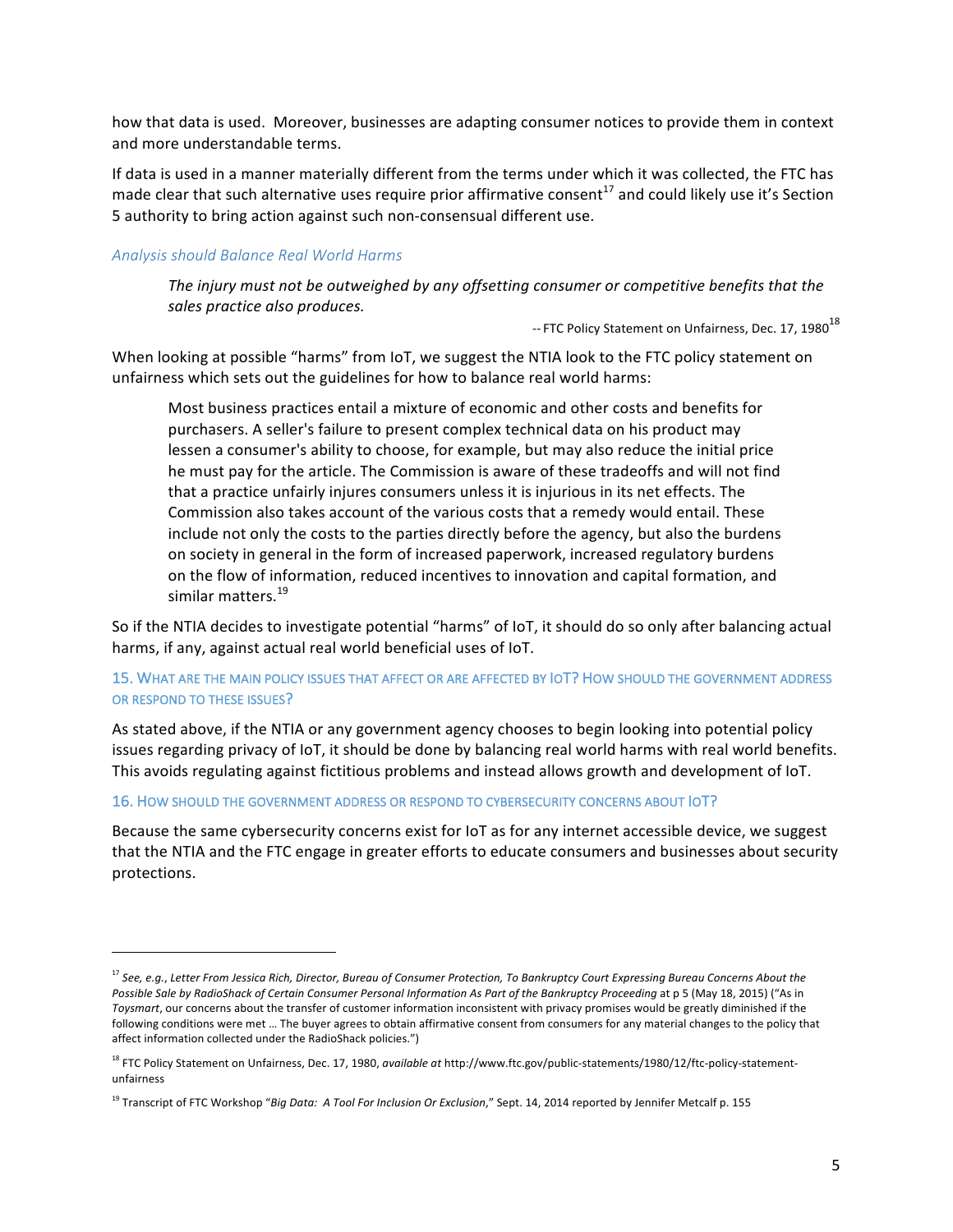how that data is used. Moreover, businesses are adapting consumer notices to provide them in context and more understandable terms.

If data is used in a manner materially different from the terms under which it was collected, the FTC has made clear that such alternative uses require prior affirmative consent<sup>17</sup> and could likely use it's Section 5 authority to bring action against such non-consensual different use.

## *Analysis should Balance Real World Harms*

<u> 1989 - Johann Barn, mars ann an t-Amhain an t-Amhain an t-Amhain an t-Amhain an t-Amhain an t-Amhain an t-Amh</u>

The injury must not be outweighed by any offsetting consumer or competitive benefits that the sales practice also produces.

-- FTC Policy Statement on Unfairness, Dec. 17, 1980<sup>18</sup>

When looking at possible "harms" from IoT, we suggest the NTIA look to the FTC policy statement on unfairness which sets out the guidelines for how to balance real world harms:

Most business practices entail a mixture of economic and other costs and benefits for purchasers. A seller's failure to present complex technical data on his product may lessen a consumer's ability to choose, for example, but may also reduce the initial price he must pay for the article. The Commission is aware of these tradeoffs and will not find that a practice unfairly injures consumers unless it is injurious in its net effects. The Commission also takes account of the various costs that a remedy would entail. These include not only the costs to the parties directly before the agency, but also the burdens on society in general in the form of increased paperwork, increased regulatory burdens on the flow of information, reduced incentives to innovation and capital formation, and similar matters.<sup>19</sup>

So if the NTIA decides to investigate potential "harms" of IoT, it should do so only after balancing actual harms, if any, against actual real world beneficial uses of IoT.

## 15. WHAT ARE THE MAIN POLICY ISSUES THAT AFFECT OR ARE AFFECTED BY IOT? HOW SHOULD THE GOVERNMENT ADDRESS OR RESPOND TO THESE ISSUES?

As stated above, if the NTIA or any government agency chooses to begin looking into potential policy issues regarding privacy of IoT, it should be done by balancing real world harms with real world benefits. This avoids regulating against fictitious problems and instead allows growth and development of IoT.

#### 16. HOW SHOULD THE GOVERNMENT ADDRESS OR RESPOND TO CYBERSECURITY CONCERNS ABOUT  $\overline{OT}$ ?

Because the same cybersecurity concerns exist for loT as for any internet accessible device, we suggest that the NTIA and the FTC engage in greater efforts to educate consumers and businesses about security protections.

<sup>&</sup>lt;sup>17</sup> See, e.g., Letter From Jessica Rich, Director, Bureau of Consumer Protection, To Bankruptcy Court Expressing Bureau Concerns About the Possible Sale by RadioShack of Certain Consumer Personal Information As Part of the Bankruptcy Proceeding at p 5 (May 18, 2015) ("As in Toysmart, our concerns about the transfer of customer information inconsistent with privacy promises would be greatly diminished if the following conditions were met ... The buyer agrees to obtain affirmative consent from consumers for any material changes to the policy that affect information collected under the RadioShack policies.")

<sup>&</sup>lt;sup>18</sup> FTC Policy Statement on Unfairness, Dec. 17, 1980, *available at* http://www.ftc.gov/public-statements/1980/12/ftc-policy-statementunfairness

<sup>&</sup>lt;sup>19</sup> Transcript of FTC Workshop "*Big Data: A Tool For Inclusion Or Exclusion*," Sept. 14, 2014 reported by Jennifer Metcalf p. 155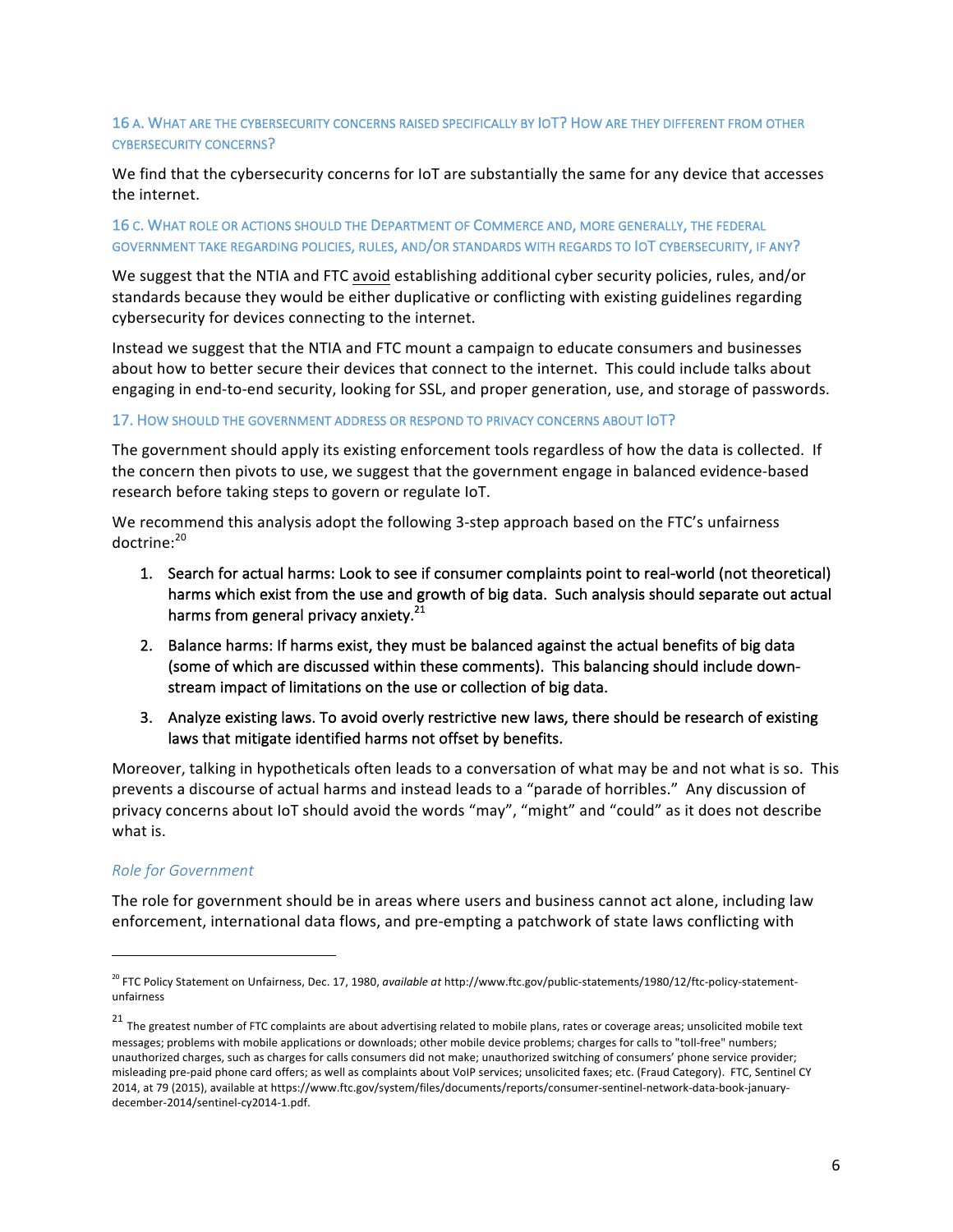## 16 A. WHAT ARE THE CYBERSECURITY CONCERNS RAISED SPECIFICALLY BY IOT? HOW ARE THEY DIFFERENT FROM OTHER CYBERSECURITY CONCERNS?

We find that the cybersecurity concerns for IoT are substantially the same for any device that accesses the internet.

## 16 C. WHAT ROLE OR ACTIONS SHOULD THE DEPARTMENT OF COMMERCE AND, MORE GENERALLY, THE FEDERAL GOVERNMENT TAKE REGARDING POLICIES, RULES, AND/OR STANDARDS WITH REGARDS TO IOT CYBERSECURITY, IF ANY?

We suggest that the NTIA and FTC avoid establishing additional cyber security policies, rules, and/or standards because they would be either duplicative or conflicting with existing guidelines regarding cybersecurity for devices connecting to the internet.

Instead we suggest that the NTIA and FTC mount a campaign to educate consumers and businesses about how to better secure their devices that connect to the internet. This could include talks about engaging in end-to-end security, looking for SSL, and proper generation, use, and storage of passwords.

#### 17. HOW SHOULD THE GOVERNMENT ADDRESS OR RESPOND TO PRIVACY CONCERNS ABOUT IOT?

The government should apply its existing enforcement tools regardless of how the data is collected. If the concern then pivots to use, we suggest that the government engage in balanced evidence-based research before taking steps to govern or regulate IoT.

We recommend this analysis adopt the following 3-step approach based on the FTC's unfairness doctrine:<sup>20</sup>

- 1. Search for actual harms: Look to see if consumer complaints point to real-world (not theoretical) harms which exist from the use and growth of big data. Such analysis should separate out actual harms from general privacy anxiety.<sup>21</sup>
- 2. Balance harms: If harms exist, they must be balanced against the actual benefits of big data (some of which are discussed within these comments). This balancing should include downstream impact of limitations on the use or collection of big data.
- 3. Analyze existing laws. To avoid overly restrictive new laws, there should be research of existing laws that mitigate identified harms not offset by benefits.

Moreover, talking in hypotheticals often leads to a conversation of what may be and not what is so. This prevents a discourse of actual harms and instead leads to a "parade of horribles." Any discussion of privacy concerns about loT should avoid the words "may", "might" and "could" as it does not describe what is.

#### *Role for Government*

 

The role for government should be in areas where users and business cannot act alone, including law enforcement, international data flows, and pre-empting a patchwork of state laws conflicting with

<sup>&</sup>lt;sup>20</sup> FTC Policy Statement on Unfairness, Dec. 17, 1980, *available at* http://www.ftc.gov/public-statements/1980/12/ftc-policy-statementunfairness

 $21$  The greatest number of FTC complaints are about advertising related to mobile plans, rates or coverage areas; unsolicited mobile text messages; problems with mobile applications or downloads; other mobile device problems; charges for calls to "toll-free" numbers; unauthorized charges, such as charges for calls consumers did not make; unauthorized switching of consumers' phone service provider; misleading pre-paid phone card offers; as well as complaints about VoIP services; unsolicited faxes; etc. (Fraud Category). FTC, Sentinel CY 2014, at 79 (2015), available at https://www.ftc.gov/system/files/documents/reports/consumer-sentinel-network-data-book-januarydecember-2014/sentinel-cy2014-1.pdf.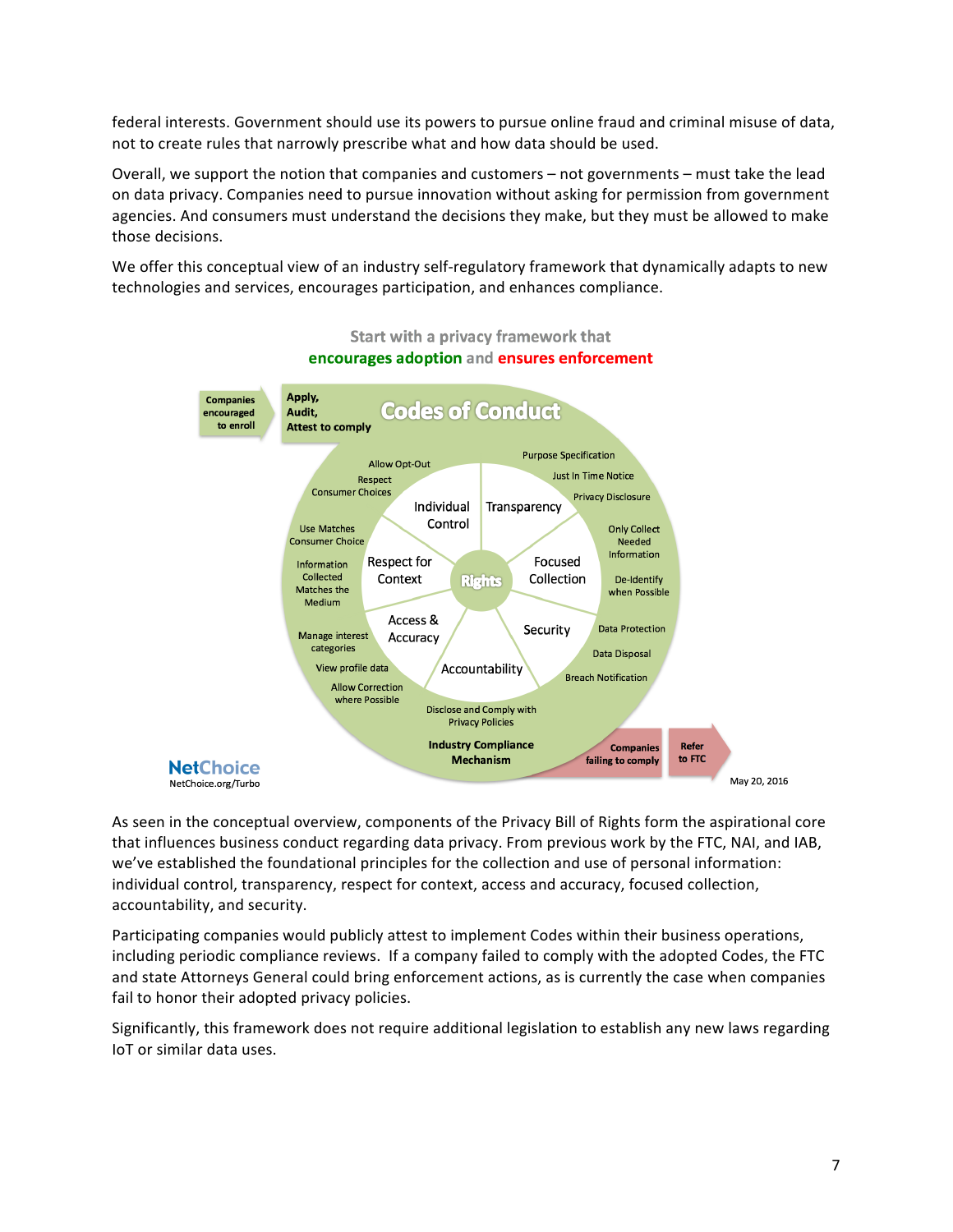federal interests. Government should use its powers to pursue online fraud and criminal misuse of data, not to create rules that narrowly prescribe what and how data should be used.

Overall, we support the notion that companies and customers – not governments – must take the lead on data privacy. Companies need to pursue innovation without asking for permission from government agencies. And consumers must understand the decisions they make, but they must be allowed to make those decisions. 

We offer this conceptual view of an industry self-regulatory framework that dynamically adapts to new technologies and services, encourages participation, and enhances compliance.



## Start with a privacy framework that encourages adoption and ensures enforcement

As seen in the conceptual overview, components of the Privacy Bill of Rights form the aspirational core that influences business conduct regarding data privacy. From previous work by the FTC, NAI, and IAB, we've established the foundational principles for the collection and use of personal information: individual control, transparency, respect for context, access and accuracy, focused collection, accountability, and security.

Participating companies would publicly attest to implement Codes within their business operations, including periodic compliance reviews. If a company failed to comply with the adopted Codes, the FTC and state Attorneys General could bring enforcement actions, as is currently the case when companies fail to honor their adopted privacy policies.

Significantly, this framework does not require additional legislation to establish any new laws regarding IoT or similar data uses.